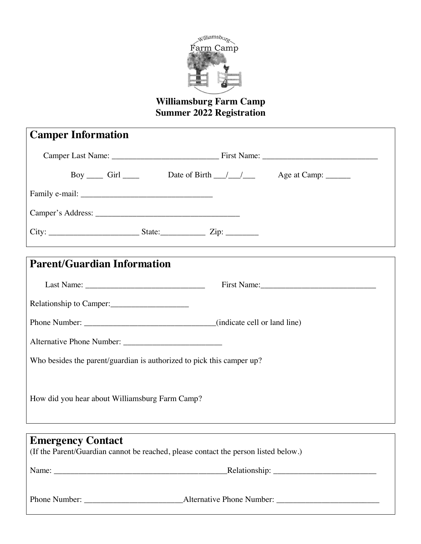

### **Williamsburg Farm Camp Summer 2022 Registration**

| <b>Camper Information</b>                                                                                                                         |
|---------------------------------------------------------------------------------------------------------------------------------------------------|
|                                                                                                                                                   |
| Boy ______ Girl _______ Date of Birth ____/ ____/ ______ Age at Camp: ________                                                                    |
|                                                                                                                                                   |
|                                                                                                                                                   |
|                                                                                                                                                   |
| <b>Parent/Guardian Information</b>                                                                                                                |
|                                                                                                                                                   |
| Relationship to Camper:                                                                                                                           |
|                                                                                                                                                   |
|                                                                                                                                                   |
| Who besides the parent/guardian is authorized to pick this camper up?                                                                             |
|                                                                                                                                                   |
| How did you hear about Williamsburg Farm Camp?                                                                                                    |
|                                                                                                                                                   |
| <u> 1989 - Johann Stein, marwolaethau a bhann an t-Amhainn an t-Amhainn an t-Amhainn an t-Amhainn an t-Amhainn an</u><br><b>Emergency Contact</b> |
| (If the Parent/Guardian cannot be reached, please contact the person listed below.)                                                               |
|                                                                                                                                                   |
|                                                                                                                                                   |